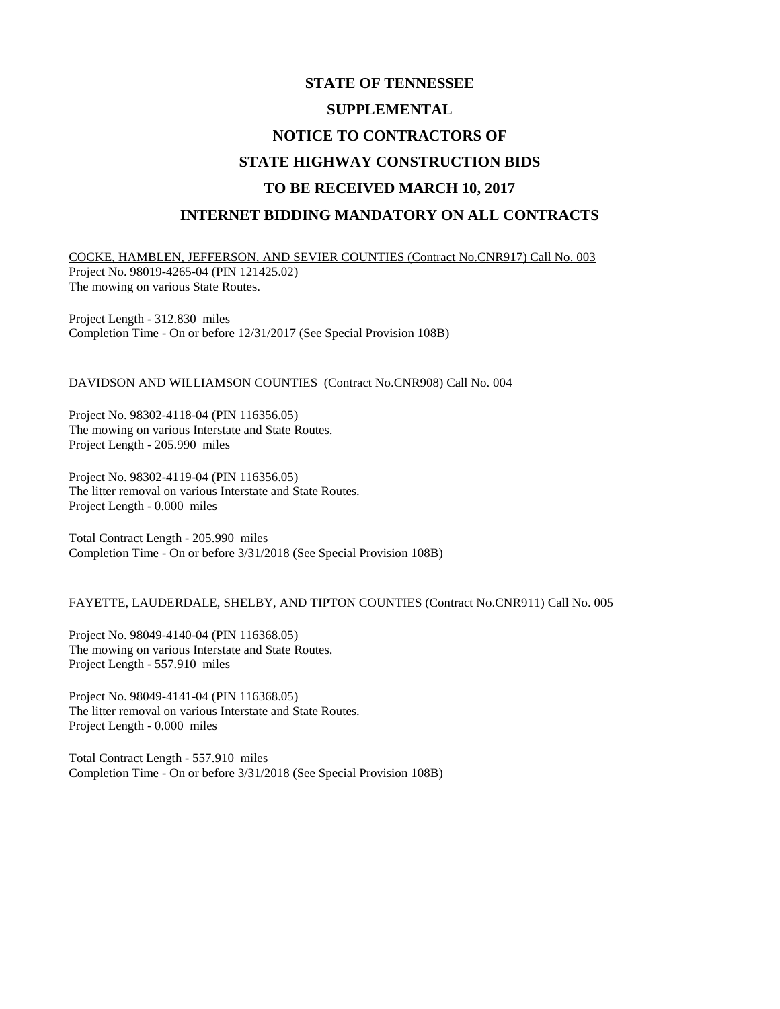## **STATE OF TENNESSEE SUPPLEMENTAL NOTICE TO CONTRACTORS OF STATE HIGHWAY CONSTRUCTION BIDS TO BE RECEIVED MARCH 10, 2017 INTERNET BIDDING MANDATORY ON ALL CONTRACTS**

COCKE, HAMBLEN, JEFFERSON, AND SEVIER COUNTIES (Contract No.CNR917) Call No. 003 Project No. 98019-4265-04 (PIN 121425.02) The mowing on various State Routes.

Project Length - 312.830 miles Completion Time - On or before 12/31/2017 (See Special Provision 108B)

## DAVIDSON AND WILLIAMSON COUNTIES (Contract No.CNR908) Call No. 004

Project No. 98302-4118-04 (PIN 116356.05) The mowing on various Interstate and State Routes. Project Length - 205.990 miles

Project No. 98302-4119-04 (PIN 116356.05) The litter removal on various Interstate and State Routes. Project Length - 0.000 miles

Total Contract Length - 205.990 miles Completion Time - On or before 3/31/2018 (See Special Provision 108B)

## FAYETTE, LAUDERDALE, SHELBY, AND TIPTON COUNTIES (Contract No.CNR911) Call No. 005

Project No. 98049-4140-04 (PIN 116368.05) The mowing on various Interstate and State Routes. Project Length - 557.910 miles

Project No. 98049-4141-04 (PIN 116368.05) The litter removal on various Interstate and State Routes. Project Length - 0.000 miles

Total Contract Length - 557.910 miles Completion Time - On or before 3/31/2018 (See Special Provision 108B)